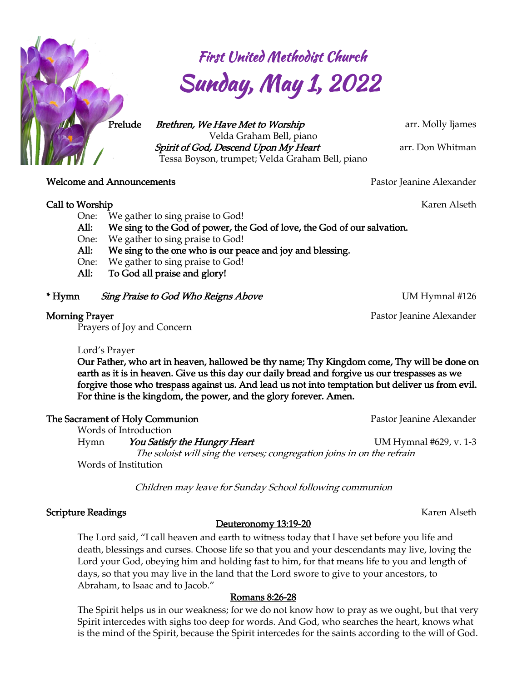

 First United Methodist Church Sunday, May 1, 2022

 *Prelude Brethren, We Have Met to Worship arr. Molly Ijames Velda Graham Bell, piano Spirit of God, Descend Upon My Heart arr. Don Whitman Tessa Boyson, trumpet; Velda Graham Bell, piano*

**Welcome and Announcements** *Pastor Pastor Jeanine Alexander* 

#### *Call to Worship Karen Alseth*

- *One: We gather to sing praise to God!*
- *All: We sing to the God of power, the God of love, the God of our salvation.*
- *One: We gather to sing praise to God!*
- *All: We sing to the one who is our peace and joy and blessing.*
- *One: We gather to sing praise to God!*
- *All: To God all praise and glory!*

*\* Hymn Sing Praise to God Who Reigns Above UM Hymnal #126*

*Prayers of Joy and Concern*

*Words of Introduction*

## *Lord's Prayer*

*Our Father, who art in heaven, hallowed be thy name; Thy Kingdom come, Thy will be done on earth as it is in heaven. Give us this day our daily bread and forgive us our trespasses as we forgive those who trespass against us. And lead us not into temptation but deliver us from evil.*  For thine is the kingdom, the power, and the glory forever. Amen.

**The Sacrament of Holy Communion** *Pastor Jeanine Alexander Pastor Jeanine Alexander* 

*Hymn You Satisfy the Hungry Heart UM Hymnal #629, v. 1-3 The soloist will sing the verses; congregation joins in on the refrain Words of Institution*

*Children may leave for Sunday School following communion*

## **Scripture Readings** Karen Alseth

## *Deuteronomy 13:19-20*

*The Lord said, "I call heaven and earth to witness today that I have set before you life and death, blessings and curses. Choose life so that you and your descendants may live, loving the*  Lord your God, obeying him and holding fast to him, for that means life to you and length of *days, so that you may live in the land that the Lord swore to give to your ancestors, to Abraham, to Isaac and to Jacob."*

## *Romans 8:26-28*

*The Spirit helps us in our weakness; for we do not know how to pray as we ought, but that very*  Spirit intercedes with sighs too deep for words. And God, who searches the heart, knows what *is the mind of the Spirit, because the Spirit intercedes for the saints according to the will of God.* 

*Morning Prayer* Pastor Jeanine Alexander